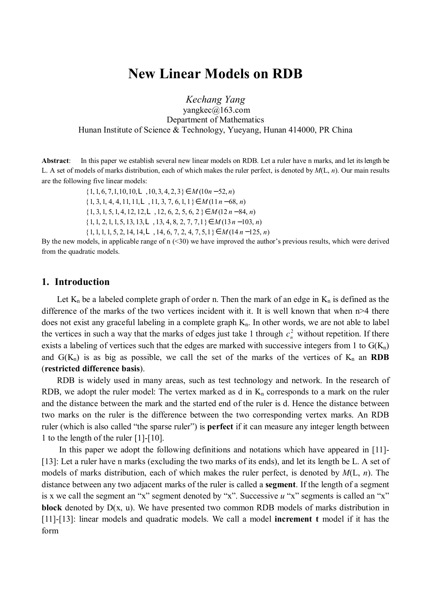# **New Linear Models on RDB**

*Kechang Yang*  yangkec@163.com Department of Mathematics Hunan Institute of Science & Technology, Yueyang, Hunan 414000, PR China

**Abstract**:In this paper we establish several new linear models on RDB. Let <sup>a</sup> ruler have <sup>n</sup> marks, and let itslength be L. A set of models of marks distribution, each of which makes the ruler perfect, is denoted by *M*(L, *n*). Our main results are the following five linear models:

> $\{1, 1, 6, 7, 1, 10, 10, L, 10, 3, 4, 2, 3\} \in M(10n - 52, n)$ {1, 3, 1, 4, 4, 11, 11,L, 11, 3, 7, 6, 1, 1}∈ *M* (11*n* − 68, *n*) {1, 3, 1, 5, 1, 4, 12, 12,L, 12, 6, 2, 5, 6, 2 }∈ *M* (12 *n* − 84, *n*) {1, 1, 2, 1, 1, 5, 13, 13,L, 13, 4, 8, 2, 7, 7,1}∈ *M* (13*n* −103, *n*) {1, 1, 1, 1, 5, 2, 14, 14,L, 14, 6, 7, 2, 4, 7, 5,1}∈ *M* (14 *n* −125, *n*)

By the new models, in applicable range of  $n$  (<30) we have improved the author's previous results, which were derived from the quadratic models.

### **1. Introduction**

Let  $K_n$  be a labeled complete graph of order n. Then the mark of an edge in  $K_n$  is defined as the difference of the marks of the two vertices incident with it. It is well known that when n>4 there does not exist any graceful labeling in a complete graph  $K_n$ . In other words, we are not able to label the vertices in such a way that the marks of edges just take 1 through  $c_n^2$  without repetition. If there exists a labeling of vertices such that the edges are marked with successive integers from 1 to  $G(K_n)$ and  $G(K_n)$  is as big as possible, we call the set of the marks of the vertices of  $K_n$  an **RDB** (**restricted difference basis**).

RDB is widely used in many areas, such as test technology and network. In the research of RDB, we adopt the ruler model: The vertex marked as d in  $K_n$  corresponds to a mark on the ruler and the distance between the mark and the started end of the ruler is d. Hence the distance between two marks on the ruler is the difference between the two corresponding vertex marks. An RDB ruler (which is also called "the sparse ruler") is **perfect** if it can measure any integer length between 1 to the length of the ruler [1]-[10].

In this paper we adopt the following definitions and notations which have appeared in [11]-[13]: Let a ruler have n marks (excluding the two marks of its ends), and let its length be L. A set of models of marks distribution, each of which makes the ruler perfect, is denoted by *M*(L, *n*). The distance between any two adjacent marks of the ruler is called a **segment**. If the length of a segment is x we call the segment an "x" segment denoted by "x". Successive *u* "x" segments is called an "x" **block** denoted by D(x, u). We have presented two common RDB models of marks distribution in [11]-[13]: linear models and quadratic models. We call a model **increment t** model if it has the form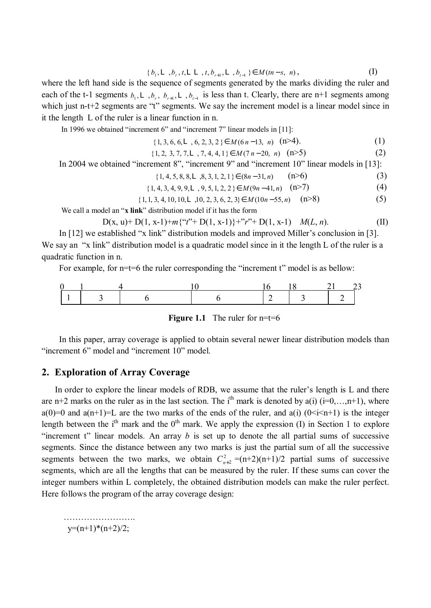$$
\{b_1, \mathbf{L}, b_r, t, \mathbf{L}\mathbf{L}, t, b_{r+1}, \mathbf{L}, b_{t-1}\} \in M(m-s, n), \tag{I}
$$

where the left hand side is the sequence of segments generated by the marks dividing the ruler and each of the t-1 segments  $b_1$ , **L**,  $b_r$ ,  $b_{r+1}$ , **L**,  $b_{t-1}$  is less than t. Clearly, there are n+1 segments among which just n-t+2 segments are "t" segments. We say the increment model is a linear model since in it the length L of the ruler is a linear function in n.

In 1996 we obtained "increment 6" and "increment 7" linear models in [11]:

{1, 3, 6, 6, **L**, 6, 2, 3, 2 }∈ *M*(6 *n* −13, *n*) (n>4). (1)

$$
\{1, 2, 3, 7, 7, L, 7, 4, 4, 1\} \in M(7n-20, n) \quad (n \ge 5)
$$
 (2)

In 2004 we obtained "increment 8", "increment 9" and "increment 10" linear models in [13]:

$$
\{1, 4, 5, 8, 8, L, 8, 3, 1, 2, 1\} \in (8n - 31, n) \qquad (n \ge 6)
$$
 (3)

$$
\{1, 4, 3, 4, 9, 9, L, 9, 5, 1, 2, 2\} \in M(9n-41, n) \quad (n > 7)
$$
 (4)

$$
\{1, 1, 3, 4, 10, 10, L, 10, 2, 3, 6, 2, 3\} \in M(10n - 55, n) \quad (n > 8)
$$
 (5)

We call a model an "**x link**" distribution model if it has the form

$$
D(x, u) + D(1, x-1) + m\{``t" + D(1, x-1)\} + "r" + D(1, x-1) \quad M(L, n). \tag{II}
$$

In [12] we established "x link" distribution models and improved Miller's conclusion in [3]. We say an "x link" distribution model is a quadratic model since in it the length L of the ruler is a quadratic function in n.

For example, for n=t=6 the ruler corresponding the "increment t" model is as bellow:

**Figure 1.1** The ruler for  $n=1$  = 6

In this paper, array coverage is applied to obtain several newer linear distribution models than "increment 6" model and "increment 10" model.

### **2. Exploration of Array Coverage**

 In order to explore the linear models of RDB, we assume that the ruler's length is L and there are n+2 marks on the ruler as in the last section. The i<sup>th</sup> mark is denoted by a(i) (i=0,...,n+1), where a(0)=0 and a(n+1)=L are the two marks of the ends of the ruler, and a(i) ( $0 \le i \le n+1$ ) is the integer length between the i<sup>th</sup> mark and the  $0<sup>th</sup>$  mark. We apply the expression (I) in Section 1 to explore "increment t" linear models. An array  $b$  is set up to denote the all partial sums of successive segments. Since the distance between any two marks is just the partial sum of all the successive segments between the two marks, we obtain  $C_{n+2}^2 = (n+2)(n+1)/2$  partial sums of successive segments, which are all the lengths that can be measured by the ruler. If these sums can cover the integer numbers within L completely, the obtained distribution models can make the ruler perfect. Here follows the program of the array coverage design:

 ………………… … .  $y=(n+1)*(n+2)/2;$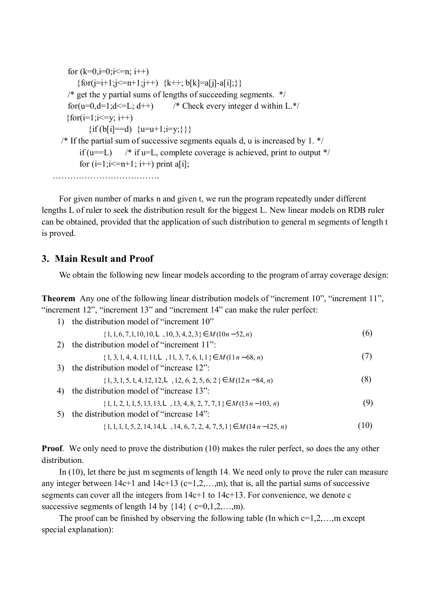```
for (k=0,i=0;i \leq n; i++){for(j=i+1;j <= n+1;j ++) {k++; b[k]=a[j]-a[i]; } }
 \frac{1}{2} get the y partial sums of lengths of succeeding segments. */
 for(u=0,d=1;d \frac{-L}{-t}++) /* Check every integer d within L.*/
{for(i=1; i \le y; i++)}
       \{if (b[i]=-d) \{u=u+1;i=v;\}\}\\frac{1}{2} If the partial sum of successive segments equals d, u is increased by 1. */
    if (u==L) \frac{\pi}{16} if u=L, complete coverage is achieved, print to output */
    for (i=1; i \leq n+1; i++) print a[i];
```
……………………………… .

For given number of marks n and given t, we run the program repeatedly under different lengths L of ruler to seek the distribution result for the biggest L. New linear models on RDB ruler can be obtained, provided that the application of such distribution to general m segments of length t is proved.

## **3. Main Result and Proof**

We obtain the following new linear models according to the program of array coverage design:

**Theorem** Any one of the following linear distribution models of "increment 10", "increment 11", "increment 12", "increment 13" and "increment 14" can make the ruler perfect:

1) the distribution model of "increment 10"

 $\{1, 1, 6, 7, 1, 10, 10, L, 10, 3, 4, 2, 3\} \in M(10n - 52, n)$  (6)

2) the distribution model of "increment 11":

 $\{1, 3, 1, 4, 4, 11, 11, L, 11, 3, 7, 6, 1, 1\} \in M(11n-68, n)$  (7)

3) the distribution model of "increase 12":

$$
\{1, 3, 1, 5, 1, 4, 12, 12, \mathbf{L}, 12, 6, 2, 5, 6, 2\} \in M(12n - 84, n) \tag{8}
$$

- 4) the distribution model of "increase 13":
- $\{1, 1, 2, 1, 1, 5, 13, 13, \mathbf{L}, 13, 4, 8, 2, 7, 7, 1\} \in M(13n-103, n)$  (9) 5) the distribution model of "increase 14":

 $\{1, 1, 1, 1, 5, 2, 14, 14, \mathbf{L}, 14, 6, 7, 2, 4, 7, 5, 1\} \in M(14n - 125, n)$  (10)

**Proof.** We only need to prove the distribution (10) makes the ruler perfect, so does the any other distribution.

In (10), let there be just m segments of length 14. We need only to prove the ruler can measure any integer between  $14c+1$  and  $14c+13$  ( $c=1,2,...,m$ ), that is, all the partial sums of successive segments can cover all the integers from 14c+1 to 14c+13. For convenience, we denote c successive segments of length 14 by  $\{14\}$  ( $c=0,1,2,...,m$ ).

The proof can be finished by observing the following table (In which  $c=1,2,...,m$  except special explanation):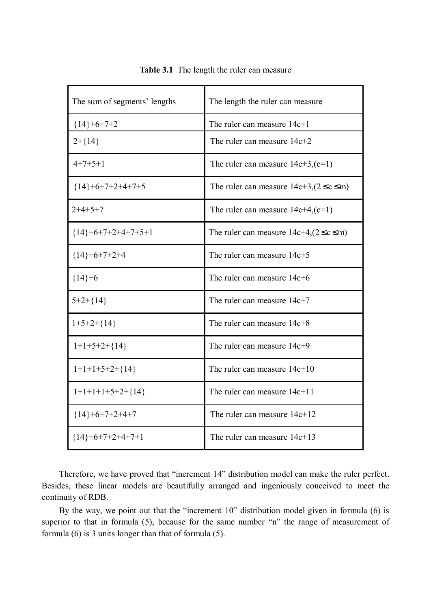| The sum of segments' lengths | The length the ruler can measure                  |  |  |
|------------------------------|---------------------------------------------------|--|--|
| ${14}+6+7+2$                 | The ruler can measure $14c+1$                     |  |  |
| $2 + \{14\}$                 | The ruler can measure $14c+2$                     |  |  |
| $4+7+5+1$                    | The ruler can measure $14c+3$ , $(c=1)$           |  |  |
| ${14}+6+7+2+4+7+5$           | The ruler can measure $14c+3$ , $(2 \le c \le m)$ |  |  |
| $2+4+5+7$                    | The ruler can measure $14c+4$ , $(c=1)$           |  |  |
| ${14}+6+7+2+4+7+5+1$         | The ruler can measure $14c+4$ , $(2 \le c \le m)$ |  |  |
| ${14}+6+7+2+4$               | The ruler can measure 14c+5                       |  |  |
| ${14}+6$                     | The ruler can measure $14c+6$                     |  |  |
| $5+2+\{14\}$                 | The ruler can measure $14c+7$                     |  |  |
| $1+5+2+\{14\}$               | The ruler can measure $14c+8$                     |  |  |
| $1+1+5+2+\{14\}$             | The ruler can measure $14c+9$                     |  |  |
| $1+1+1+5+2+\{14\}$           | The ruler can measure $14c+10$                    |  |  |
| $1+1+1+1+5+2+\{14\}$         | The ruler can measure $14c+11$                    |  |  |
| ${14}+6+7+2+4+7$             | The ruler can measure $14c+12$                    |  |  |
| ${14}+6+7+2+4+7+1$           | The ruler can measure $14c+13$                    |  |  |

**Table 3.1** The length the ruler can measure

Therefore, we have proved that "increment 14" distribution model can make the ruler perfect. Besides, these linear models are beautifully arranged and ingeniously conceived to meet the continuity of RDB.

By the way, we point out that the "increment 10" distribution model given in formula (6) is superior to that in formula (5), because for the same number "n" the range of measurement of formula (6) is 3 units longer than that of formula (5).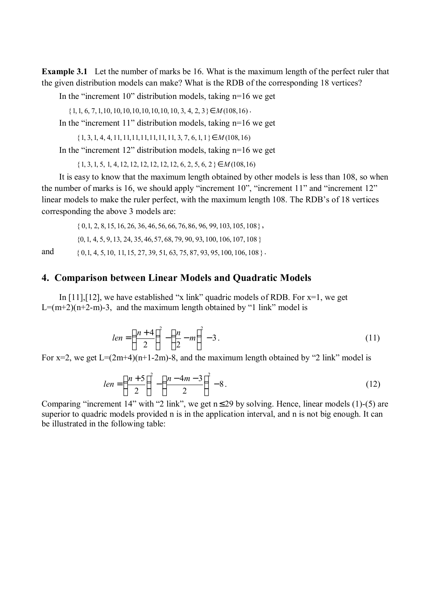**Example 3.1** Let the number of marks be 16. What is the maximum length of the perfect ruler that the given distribution models can make? What is the RDB of the corresponding 18 vertices?

In the "increment  $10$ " distribution models, taking  $n=16$  we get

 $\{1, 1, 6, 7, 1, 10, 10, 10, 10, 10, 10, 10, 3, 4, 2, 3\} \in M(108, 16)$ .

In the "increment 11" distribution models, taking n=16 we get

{1, 3, 1, 4, 4, 11, 11,11,11,11,11, 11, 3, 7, 6, 1, 1}∈ *M* (108, 16)

In the "increment  $12$ " distribution models, taking  $n=16$  we get

{1, 3, 1, 5, 1, 4, 12, 12, 12, 12, 12, 12, 6, 2, 5, 6, 2 }∈ *M* (108,16)

It is easy to know that the maximum length obtained by other models is less than 108, so when the number of marks is 16, we should apply "increment 10", "increment 11" and "increment 12" linear models to make the ruler perfect, with the maximum length 108. The RDB's of 18 vertices corresponding the above 3 models are:

 $\{0, 1, 2, 8, 15, 16, 26, 36, 46, 56, 66, 76, 86, 96, 99, 103, 105, 108\},\$ 

{0, 1, 4, 5, 9, 13, 24, 35, 46, 57, 68, 79, 90, 93, 100, 106, 107, 108 }

and  ${0,1, 4, 5, 10, 11, 15, 27, 39, 51, 63, 75, 87, 93, 95, 100, 106, 108}.$ 

### **4. Comparison between Linear Models and Quadratic Models**

In  $[11]$ ,  $[12]$ , we have established "x link" quadric models of RDB. For  $x=1$ , we get  $L=(m+2)(n+2-m)-3$ , and the maximum length obtained by "1 link" model is

$$
len = \left(\frac{n+4}{2}\right)^2 - \left(\frac{n}{2} - m\right)^2 - 3\,. \tag{11}
$$

For  $x=2$ , we get  $L=(2m+4)(n+1-2m)-8$ , and the maximum length obtained by "2 link" model is

$$
len = \left(\frac{n+5}{2}\right)^2 - \left(\frac{n-4m-3}{2}\right)^2 - 8. \tag{12}
$$

Comparing "increment 14" with "2 link", we get  $n \le 29$  by solving. Hence, linear models (1)-(5) are superior to quadric models provided n is in the application interval, and n is not big enough. It can be illustrated in the following table: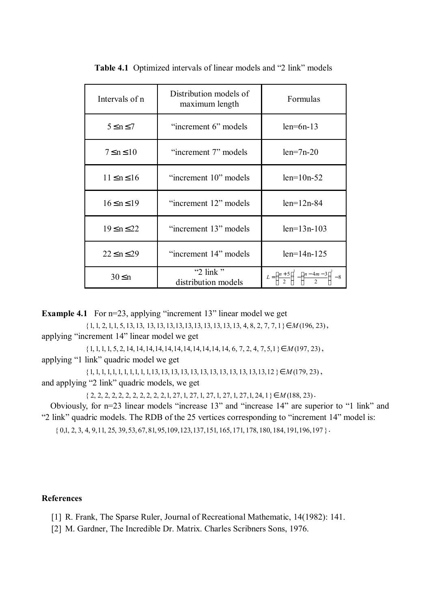| Intervals of n      | Distribution models of<br>maximum length  | Formulas                                                                 |
|---------------------|-------------------------------------------|--------------------------------------------------------------------------|
| $5 \le n \le 7$     | "increment 6" models                      | $len=6n-13$                                                              |
| $7 \le n \le 10$    | "increment 7" models                      | $len=7n-20$                                                              |
| $11 \le n \le 16$   | "increment 10" models                     | $len=10n-52$                                                             |
| $16 \le n \le 19$   | "increment 12" models                     | $len=12n-84$                                                             |
| $19 \le n \le 22$   | "increment 13" models                     | $len=13n-103$                                                            |
| $22 \leq n \leq 29$ | "increment 14" models                     | $len=14n-125$                                                            |
| $30 \leq n$         | "2 $\text{link}$ "<br>distribution models | $L = \left(\frac{n+5}{2}\right)^2 - \left(\frac{n-4m-3}{2}\right)^2 - 8$ |

**Table 4.1** Optimized intervals of linear models and "2 link" models

**Example 4.1** For n=23, applying "increment 13" linear model we get

{1, 1, 2, 1,1, 5, 13, 13, 13, 13, 13,13,13,13, 13, 13, 13, 13, 4, 8, 2, 7, 7, 1}∈ *M* (196, 23), applying "increment 14" linear model we get

{1, 1, 1, 1, 5, 2, 14, 14,14,14,14,14,14,14,14,14, 14, 6, 7, 2, 4, 7, 5,1}∈ *M* (197, 23) , applying "1 link" quadric model we get

{1, 1, 1, 1,1, 1, 1, 1,1, 1, 1,13, 13, 13, 13, 13, 13, 13, 13, 13, 13, 13,13,12 }∈ *M* (179, 23) , and applying "2 link" quadric models, we get

{ 2, 2, 2, 2, 2, 2, 2, 2, 2, 2, 2,1, 27, 1, 27, 1, 27, 1, 27, 1, 27,1, 24, 1}∈ *M* (188, 23).

Obviously, for n=23 linear models "increase 13" and "increase 14" are superior to "1 link" and "2 link" quadric models. The RDB of the 25 vertices corresponding to "increment 14" model is:

 $\{0, 1, 2, 3, 4, 9, 11, 25, 39, 53, 67, 81, 95, 109, 123, 137, 151, 165, 171, 178, 180, 184, 191, 196, 197\}$ .

#### **References**

[1] R. Frank, The Sparse Ruler, Journal of Recreational Mathematic, 14(1982): 141.

[2] M. Gardner, The Incredible Dr. Matrix. Charles Scribners Sons, 1976.